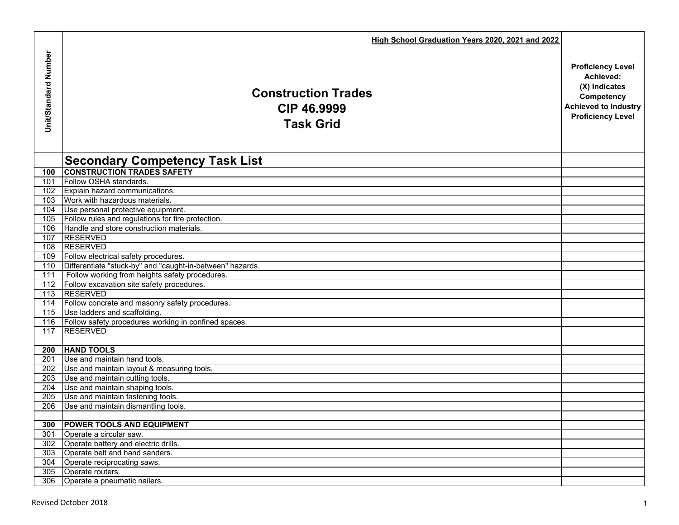|                             | High School Graduation Years 2020, 2021 and 2022                     |                             |
|-----------------------------|----------------------------------------------------------------------|-----------------------------|
| <b>Jnit/Standard Number</b> |                                                                      | <b>Proficiency Level</b>    |
|                             |                                                                      | Achieved:<br>(X) Indicates  |
|                             | <b>Construction Trades</b>                                           | Competency                  |
|                             | CIP 46.9999                                                          | <b>Achieved to Industry</b> |
|                             | <b>Task Grid</b>                                                     | <b>Proficiency Level</b>    |
|                             |                                                                      |                             |
|                             |                                                                      |                             |
|                             | <b>Secondary Competency Task List</b>                                |                             |
| 100                         | <b>CONSTRUCTION TRADES SAFETY</b>                                    |                             |
| 101                         | Follow OSHA standards.                                               |                             |
| 102                         | Explain hazard communications.                                       |                             |
| 103<br>104                  | Work with hazardous materials.<br>Use personal protective equipment. |                             |
| 105                         | Follow rules and regulations for fire protection.                    |                             |
| 106                         | Handle and store construction materials.                             |                             |
| 107                         | <b>RESERVED</b>                                                      |                             |
| 108                         | <b>RESERVED</b>                                                      |                             |
| 109                         | Follow electrical safety procedures.                                 |                             |
| 110                         | Differentiate "stuck-by" and "caught-in-between" hazards.            |                             |
| 111                         | Follow working from heights safety procedures.                       |                             |
| 112                         | Follow excavation site safety procedures.<br>113 RESERVED            |                             |
|                             | 114 Follow concrete and masonry safety procedures.                   |                             |
| 115                         | Use ladders and scaffolding.                                         |                             |
| 116                         | Follow safety procedures working in confined spaces.                 |                             |
| 117                         | <b>RESERVED</b>                                                      |                             |
|                             |                                                                      |                             |
| 200                         | <b>HAND TOOLS</b>                                                    |                             |
| 201                         | Use and maintain hand tools.                                         |                             |
| 202                         | Use and maintain layout & measuring tools.                           |                             |
| $\overline{203}$            | Use and maintain cutting tools.                                      |                             |
| 204<br>$\overline{205}$     | Use and maintain shaping tools.<br>Use and maintain fastening tools. |                             |
| 206                         | Use and maintain dismantling tools.                                  |                             |
|                             |                                                                      |                             |
| 300                         | <b>POWER TOOLS AND EQUIPMENT</b>                                     |                             |
| 301                         | Operate a circular saw.                                              |                             |
| 302                         | Operate battery and electric drills.                                 |                             |
| 303                         | Operate belt and hand sanders.                                       |                             |
| 304                         | Operate reciprocating saws.                                          |                             |
|                             | 305 Operate routers.                                                 |                             |
|                             | 306 Operate a pneumatic nailers.                                     |                             |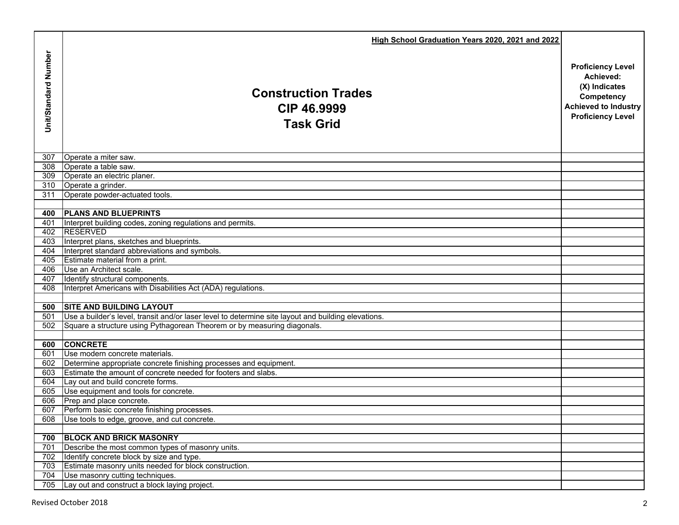|                      | High School Graduation Years 2020, 2021 and 2022                                                    |                                                                                                                                 |
|----------------------|-----------------------------------------------------------------------------------------------------|---------------------------------------------------------------------------------------------------------------------------------|
| Unit/Standard Number | <b>Construction Trades</b><br>CIP 46.9999<br><b>Task Grid</b>                                       | <b>Proficiency Level</b><br>Achieved:<br>(X) Indicates<br>Competency<br><b>Achieved to Industry</b><br><b>Proficiency Level</b> |
| 307                  | Operate a miter saw.                                                                                |                                                                                                                                 |
| 308                  | Operate a table saw.                                                                                |                                                                                                                                 |
| 309                  | Operate an electric planer.                                                                         |                                                                                                                                 |
| 310                  | Operate a grinder.                                                                                  |                                                                                                                                 |
| 311                  | Operate powder-actuated tools.                                                                      |                                                                                                                                 |
| 400                  | <b>PLANS AND BLUEPRINTS</b>                                                                         |                                                                                                                                 |
| 401                  | Interpret building codes, zoning regulations and permits.                                           |                                                                                                                                 |
| 402                  | <b>RESERVED</b>                                                                                     |                                                                                                                                 |
| 403                  | Interpret plans, sketches and blueprints.                                                           |                                                                                                                                 |
| 404                  | Interpret standard abbreviations and symbols.                                                       |                                                                                                                                 |
| 405                  | Estimate material from a print.                                                                     |                                                                                                                                 |
| 406                  | Use an Architect scale.                                                                             |                                                                                                                                 |
| 407                  | Identify structural components.                                                                     |                                                                                                                                 |
| 408                  | Interpret Americans with Disabilities Act (ADA) regulations.                                        |                                                                                                                                 |
| 500                  | <b>SITE AND BUILDING LAYOUT</b>                                                                     |                                                                                                                                 |
| 501                  | Use a builder's level, transit and/or laser level to determine site layout and building elevations. |                                                                                                                                 |
| 502                  | Square a structure using Pythagorean Theorem or by measuring diagonals.                             |                                                                                                                                 |
|                      |                                                                                                     |                                                                                                                                 |
| 600                  | <b>CONCRETE</b>                                                                                     |                                                                                                                                 |
| 601                  | Use modern concrete materials.                                                                      |                                                                                                                                 |
| 602                  | Determine appropriate concrete finishing processes and equipment.                                   |                                                                                                                                 |
| 603                  | Estimate the amount of concrete needed for footers and slabs.                                       |                                                                                                                                 |
| 604                  | Lay out and build concrete forms.                                                                   |                                                                                                                                 |
| 605                  | Use equipment and tools for concrete.                                                               |                                                                                                                                 |
| 606                  | Prep and place concrete.                                                                            |                                                                                                                                 |
| 607                  | Perform basic concrete finishing processes.                                                         |                                                                                                                                 |
| 608                  | Use tools to edge, groove, and cut concrete.                                                        |                                                                                                                                 |
| 700                  | <b>BLOCK AND BRICK MASONRY</b>                                                                      |                                                                                                                                 |
| 701                  | Describe the most common types of masonry units.                                                    |                                                                                                                                 |
| 702                  | Identify concrete block by size and type.                                                           |                                                                                                                                 |
| 703                  | Estimate masonry units needed for block construction.                                               |                                                                                                                                 |
| 704                  | Use masonry cutting techniques.                                                                     |                                                                                                                                 |
| 705                  | Lay out and construct a block laying project.                                                       |                                                                                                                                 |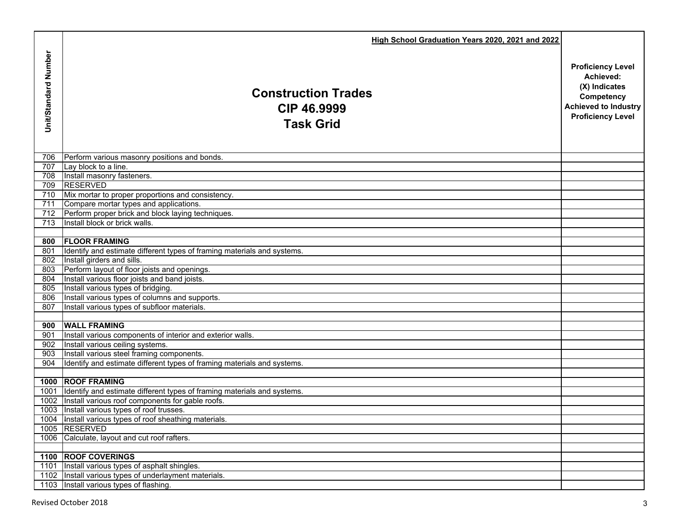|                      | High School Graduation Years 2020, 2021 and 2022                                               |                             |
|----------------------|------------------------------------------------------------------------------------------------|-----------------------------|
|                      |                                                                                                | <b>Proficiency Level</b>    |
| Unit/Standard Number |                                                                                                | Achieved:<br>(X) Indicates  |
|                      | <b>Construction Trades</b>                                                                     | Competency                  |
|                      | CIP 46.9999                                                                                    | <b>Achieved to Industry</b> |
|                      |                                                                                                | <b>Proficiency Level</b>    |
|                      | <b>Task Grid</b>                                                                               |                             |
|                      |                                                                                                |                             |
| 706                  | Perform various masonry positions and bonds.                                                   |                             |
| 707                  | Lay block to a line.                                                                           |                             |
| 708                  | Install masonry fasteners.                                                                     |                             |
| 709                  | <b>RESERVED</b>                                                                                |                             |
| 710                  | Mix mortar to proper proportions and consistency.                                              |                             |
| 711                  | Compare mortar types and applications.                                                         |                             |
|                      | 712 Perform proper brick and block laying techniques.                                          |                             |
| 713                  | Install block or brick walls.                                                                  |                             |
|                      | 800 FLOOR FRAMING                                                                              |                             |
| 801                  | Identify and estimate different types of framing materials and systems.                        |                             |
| 802                  | Install girders and sills.                                                                     |                             |
| 803                  | Perform layout of floor joists and openings.                                                   |                             |
| 804                  | Install various floor joists and band joists.                                                  |                             |
| 805                  | Install various types of bridging.                                                             |                             |
| 806                  | Install various types of columns and supports.                                                 |                             |
| 807                  | Install various types of subfloor materials.                                                   |                             |
|                      |                                                                                                |                             |
| 900                  | <b>WALL FRAMING</b>                                                                            |                             |
| 901                  | Install various components of interior and exterior walls.<br>Install various ceiling systems. |                             |
| 902<br>903           | Install various steel framing components.                                                      |                             |
| 904                  | Identify and estimate different types of framing materials and systems.                        |                             |
|                      |                                                                                                |                             |
|                      | 1000 ROOF FRAMING                                                                              |                             |
|                      | 1001 Identify and estimate different types of framing materials and systems.                   |                             |
|                      | 1002   Install various roof components for gable roofs.                                        |                             |
|                      | 1003 Install various types of roof trusses.                                                    |                             |
|                      | 1004   Install various types of roof sheathing materials.                                      |                             |
|                      | 1005 RESERVED                                                                                  |                             |
| 1006                 | Calculate, layout and cut roof rafters.                                                        |                             |
|                      | 1100 ROOF COVERINGS                                                                            |                             |
| 1101                 | Install various types of asphalt shingles.                                                     |                             |
|                      | 1102 Install various types of underlayment materials.                                          |                             |
|                      | 1103 Install various types of flashing.                                                        |                             |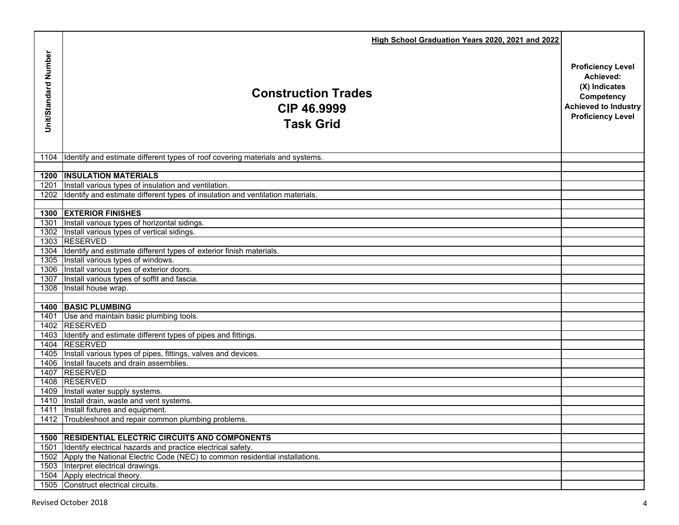|                      | High School Graduation Years 2020, 2021 and 2022                                                                        |                                                                                                                                 |
|----------------------|-------------------------------------------------------------------------------------------------------------------------|---------------------------------------------------------------------------------------------------------------------------------|
| Unit/Standard Number | <b>Construction Trades</b><br>CIP 46.9999<br><b>Task Grid</b>                                                           | <b>Proficiency Level</b><br>Achieved:<br>(X) Indicates<br>Competency<br><b>Achieved to Industry</b><br><b>Proficiency Level</b> |
|                      |                                                                                                                         |                                                                                                                                 |
| 1104                 | Identify and estimate different types of roof covering materials and systems.                                           |                                                                                                                                 |
|                      |                                                                                                                         |                                                                                                                                 |
|                      | <b>1200 INSULATION MATERIALS</b><br>1201 Install various types of insulation and ventilation.                           |                                                                                                                                 |
|                      | 1202 Identify and estimate different types of insulation and ventilation materials.                                     |                                                                                                                                 |
|                      |                                                                                                                         |                                                                                                                                 |
|                      | <b>1300 EXTERIOR FINISHES</b>                                                                                           |                                                                                                                                 |
|                      | 1301 Install various types of horizontal sidings.                                                                       |                                                                                                                                 |
|                      | 1302 Install various types of vertical sidings.                                                                         |                                                                                                                                 |
|                      | 1303 RESERVED                                                                                                           |                                                                                                                                 |
|                      | 1304 Identify and estimate different types of exterior finish materials.                                                |                                                                                                                                 |
|                      | 1305 Install various types of windows.                                                                                  |                                                                                                                                 |
|                      | 1306 Install various types of exterior doors.                                                                           |                                                                                                                                 |
|                      | 1307 Install various types of soffit and fascia.                                                                        |                                                                                                                                 |
|                      | 1308 Install house wrap.                                                                                                |                                                                                                                                 |
|                      | <b>1400 BASIC PLUMBING</b>                                                                                              |                                                                                                                                 |
|                      | 1401 Use and maintain basic plumbing tools.                                                                             |                                                                                                                                 |
|                      | 1402 RESERVED                                                                                                           |                                                                                                                                 |
|                      | 1403 Identify and estimate different types of pipes and fittings.                                                       |                                                                                                                                 |
|                      | 1404 RESERVED                                                                                                           |                                                                                                                                 |
|                      | 1405 Install various types of pipes, fittings, valves and devices.                                                      |                                                                                                                                 |
|                      | 1406 Install faucets and drain assemblies.                                                                              |                                                                                                                                 |
|                      | 1407 RESERVED                                                                                                           |                                                                                                                                 |
|                      | 1408 RESERVED                                                                                                           |                                                                                                                                 |
|                      | 1409 Install water supply systems.                                                                                      |                                                                                                                                 |
|                      | 1410 Install drain, waste and vent systems.                                                                             |                                                                                                                                 |
|                      | 1411 Install fixtures and equipment.                                                                                    |                                                                                                                                 |
|                      | 1412 Troubleshoot and repair common plumbing problems.                                                                  |                                                                                                                                 |
|                      |                                                                                                                         |                                                                                                                                 |
| 1501                 | <b>1500 RESIDENTIAL ELECTRIC CIRCUITS AND COMPONENTS</b><br>Identify electrical hazards and practice electrical safety. |                                                                                                                                 |
|                      | 1502 Apply the National Electric Code (NEC) to common residential installations.                                        |                                                                                                                                 |
|                      | 1503 Interpret electrical drawings.                                                                                     |                                                                                                                                 |
|                      | 1504 Apply electrical theory.                                                                                           |                                                                                                                                 |
|                      | 1505 Construct electrical circuits.                                                                                     |                                                                                                                                 |
|                      |                                                                                                                         |                                                                                                                                 |